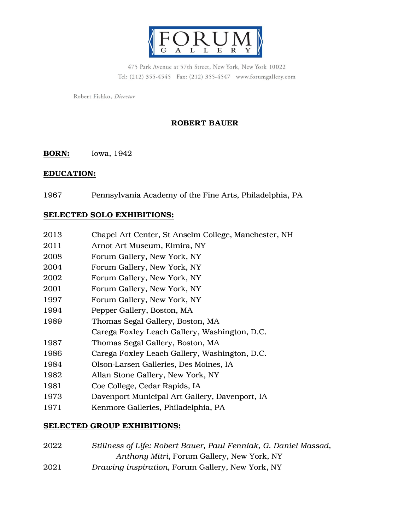

475 Park Avenue at 57th Street, New York, New York 10022 Tel: (212) 355-4545 Fax: (212) 355-4547 www.forumgallery.com

Robert Fishko, Director

# ROBERT BAUER

**BORN:** Iowa, 1942

#### EDUCATION:

Pennsylvania Academy of the Fine Arts, Philadelphia, PA

## SELECTED SOLO EXHIBITIONS:

| 2013 | Chapel Art Center, St Anselm College, Manchester, NH |
|------|------------------------------------------------------|
| 2011 | Arnot Art Museum, Elmira, NY                         |
| 2008 | Forum Gallery, New York, NY                          |
| 2004 | Forum Gallery, New York, NY                          |
| 2002 | Forum Gallery, New York, NY                          |
| 2001 | Forum Gallery, New York, NY                          |
| 1997 | Forum Gallery, New York, NY                          |
| 1994 | Pepper Gallery, Boston, MA                           |
| 1989 | Thomas Segal Gallery, Boston, MA                     |
|      | Carega Foxley Leach Gallery, Washington, D.C.        |
| 1987 | Thomas Segal Gallery, Boston, MA                     |
| 1986 | Carega Foxley Leach Gallery, Washington, D.C.        |
| 1984 | Olson-Larsen Galleries, Des Moines, IA               |
| 1982 | Allan Stone Gallery, New York, NY                    |
| 1981 | Coe College, Cedar Rapids, IA                        |
| 1973 | Davenport Municipal Art Gallery, Davenport, IA       |
| 1971 | Kenmore Galleries, Philadelphia, PA                  |

### SELECTED GROUP EXHIBITIONS:

| 2022 | Stillness of Life: Robert Bauer, Paul Fenniak, G. Daniel Massad, |
|------|------------------------------------------------------------------|
|      | Anthony Mitri, Forum Gallery, New York, NY                       |
| 2021 | Drawing inspiration, Forum Gallery, New York, NY                 |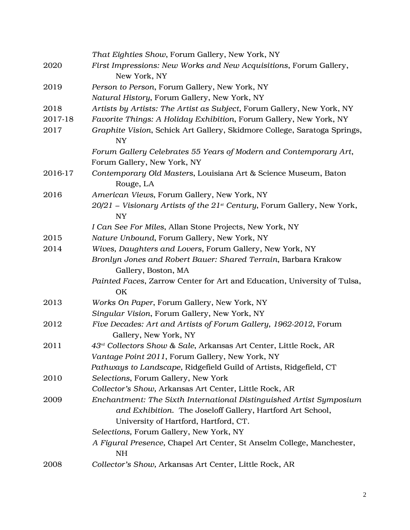|         | That Eighties Show, Forum Gallery, New York, NY                                             |
|---------|---------------------------------------------------------------------------------------------|
| 2020    | First Impressions: New Works and New Acquisitions, Forum Gallery,                           |
|         | New York, NY                                                                                |
| 2019    | Person to Person, Forum Gallery, New York, NY                                               |
|         | Natural History, Forum Gallery, New York, NY                                                |
| 2018    | Artists by Artists: The Artist as Subject, Forum Gallery, New York, NY                      |
| 2017-18 | Favorite Things: A Holiday Exhibition, Forum Gallery, New York, NY                          |
| 2017    | Graphite Vision, Schick Art Gallery, Skidmore College, Saratoga Springs,<br><b>NY</b>       |
|         | Forum Gallery Celebrates 55 Years of Modern and Contemporary Art,                           |
|         | Forum Gallery, New York, NY                                                                 |
| 2016-17 | Contemporary Old Masters, Louisiana Art & Science Museum, Baton<br>Rouge, LA                |
| 2016    | American Views, Forum Gallery, New York, NY                                                 |
|         | $20/21$ – Visionary Artists of the $21^{st}$ Century, Forum Gallery, New York,<br><b>NY</b> |
|         | I Can See For Miles, Allan Stone Projects, New York, NY                                     |
| 2015    | Nature Unbound, Forum Gallery, New York, NY                                                 |
| 2014    | Wives, Daughters and Lovers, Forum Gallery, New York, NY                                    |
|         | Bronlyn Jones and Robert Bauer: Shared Terrain, Barbara Krakow                              |
|         | Gallery, Boston, MA                                                                         |
|         | Painted Faces, Zarrow Center for Art and Education, University of Tulsa,<br>OK              |
| 2013    | Works On Paper, Forum Gallery, New York, NY                                                 |
|         | Singular Vision, Forum Gallery, New York, NY                                                |
| 2012    | Five Decades: Art and Artists of Forum Gallery, 1962-2012, Forum<br>Gallery, New York, NY   |
| 2011    | 43 <sup>rd</sup> Collectors Show & Sale, Arkansas Art Center, Little Rock, AR               |
|         | Vantage Point 2011, Forum Gallery, New York, NY                                             |
|         | Pathways to Landscape, Ridgefield Guild of Artists, Ridgefield, CT                          |
| 2010    | Selections, Forum Gallery, New York                                                         |
|         | Collector's Show, Arkansas Art Center, Little Rock, AR                                      |
| 2009    | Enchantment: The Sixth International Distinguished Artist Symposium                         |
|         | and Exhibition. The Joseloff Gallery, Hartford Art School,                                  |
|         | University of Hartford, Hartford, CT.                                                       |
|         | Selections, Forum Gallery, New York, NY                                                     |
|         | A Figural Presence, Chapel Art Center, St Anselm College, Manchester,                       |
|         | <b>NH</b>                                                                                   |
| 2008    | Collector's Show, Arkansas Art Center, Little Rock, AR                                      |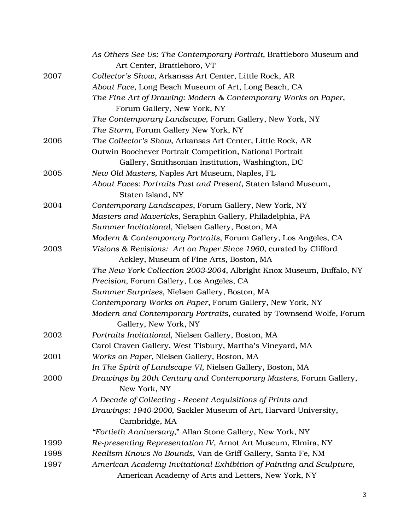|      | As Others See Us: The Contemporary Portrait, Brattleboro Museum and  |
|------|----------------------------------------------------------------------|
|      | Art Center, Brattleboro, VT                                          |
| 2007 | Collector's Show, Arkansas Art Center, Little Rock, AR               |
|      | About Face, Long Beach Museum of Art, Long Beach, CA                 |
|      | The Fine Art of Drawing: Modern & Contemporary Works on Paper,       |
|      | Forum Gallery, New York, NY                                          |
|      | The Contemporary Landscape, Forum Gallery, New York, NY              |
|      | The Storm, Forum Gallery New York, NY                                |
| 2006 | The Collector's Show, Arkansas Art Center, Little Rock, AR           |
|      | Outwin Boochever Portrait Competition, National Portrait             |
|      | Gallery, Smithsonian Institution, Washington, DC                     |
| 2005 | New Old Masters, Naples Art Museum, Naples, FL                       |
|      | About Faces: Portraits Past and Present, Staten Island Museum,       |
|      | Staten Island, NY                                                    |
| 2004 | Contemporary Landscapes, Forum Gallery, New York, NY                 |
|      | Masters and Mavericks, Seraphin Gallery, Philadelphia, PA            |
|      | Summer Invitational, Nielsen Gallery, Boston, MA                     |
|      | Modern & Contemporary Portraits, Forum Gallery, Los Angeles, CA      |
| 2003 | Visions & Revisions: Art on Paper Since 1960, curated by Clifford    |
|      | Ackley, Museum of Fine Arts, Boston, MA                              |
|      | The New York Collection 2003-2004, Albright Knox Museum, Buffalo, NY |
|      | Precision, Forum Gallery, Los Angeles, CA                            |
|      | Summer Surprises, Nielsen Gallery, Boston, MA                        |
|      | Contemporary Works on Paper, Forum Gallery, New York, NY             |
|      | Modern and Contemporary Portraits, curated by Townsend Wolfe, Forum  |
|      | Gallery, New York, NY                                                |
| 2002 | Portraits Invitational, Nielsen Gallery, Boston, MA                  |
|      | Carol Craven Gallery, West Tisbury, Martha's Vineyard, MA            |
| 2001 | Works on Paper, Nielsen Gallery, Boston, MA                          |
|      | In The Spirit of Landscape VI, Nielsen Gallery, Boston, MA           |
| 2000 | Drawings by 20th Century and Contemporary Masters, Forum Gallery,    |
|      | New York, NY                                                         |
|      | A Decade of Collecting - Recent Acquisitions of Prints and           |
|      | Drawings: 1940-2000, Sackler Museum of Art, Harvard University,      |
|      | Cambridge, MA                                                        |
|      | "Fortieth Anniversary," Allan Stone Gallery, New York, NY            |
| 1999 | Re-presenting Representation IV, Arnot Art Museum, Elmira, NY        |
| 1998 | Realism Knows No Bounds, Van de Griff Gallery, Santa Fe, NM          |
| 1997 | American Academy Invitational Exhibition of Painting and Sculpture,  |
|      | American Academy of Arts and Letters, New York, NY                   |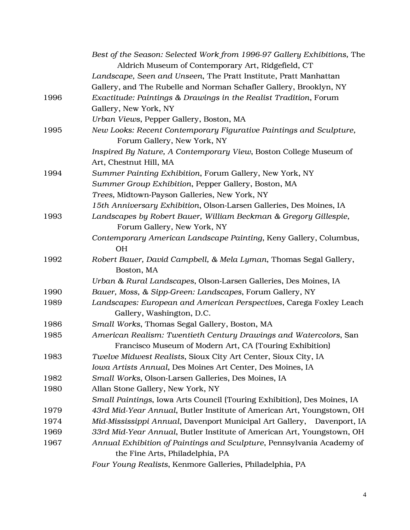|      | Best of the Season: Selected Work from 1996-97 Gallery Exhibitions, The<br>Aldrich Museum of Contemporary Art, Ridgefield, CT |
|------|-------------------------------------------------------------------------------------------------------------------------------|
|      | Landscape, Seen and Unseen, The Pratt Institute, Pratt Manhattan                                                              |
|      | Gallery, and The Rubelle and Norman Schafler Gallery, Brooklyn, NY                                                            |
| 1996 | Exactitude: Paintings & Drawings in the Realist Tradition, Forum                                                              |
|      | Gallery, New York, NY                                                                                                         |
|      | Urban Views, Pepper Gallery, Boston, MA                                                                                       |
| 1995 | New Looks: Recent Contemporary Figurative Paintings and Sculpture,<br>Forum Gallery, New York, NY                             |
|      | Inspired By Nature, A Contemporary View, Boston College Museum of                                                             |
|      | Art, Chestnut Hill, MA                                                                                                        |
| 1994 | Summer Painting Exhibition, Forum Gallery, New York, NY                                                                       |
|      | Summer Group Exhibition, Pepper Gallery, Boston, MA                                                                           |
|      | Trees, Midtown-Payson Galleries, New York, NY                                                                                 |
|      | 15th Anniversary Exhibition, Olson-Larsen Galleries, Des Moines, IA                                                           |
| 1993 | Landscapes by Robert Bauer, William Beckman & Gregory Gillespie,<br>Forum Gallery, New York, NY                               |
|      | Contemporary American Landscape Painting, Keny Gallery, Columbus,<br><b>OH</b>                                                |
| 1992 | Robert Bauer, David Campbell, & Mela Lyman, Thomas Segal Gallery,<br>Boston, MA                                               |
|      | Urban & Rural Landscapes, Olson-Larsen Galleries, Des Moines, IA                                                              |
| 1990 | Bauer, Moss, & Sipp-Green: Landscapes, Forum Gallery, NY                                                                      |
| 1989 | Landscapes: European and American Perspectives, Carega Foxley Leach<br>Gallery, Washington, D.C.                              |
| 1986 | Small Works, Thomas Segal Gallery, Boston, MA                                                                                 |
| 1985 | American Realism: Twentieth Century Drawings and Watercolors, San<br>Francisco Museum of Modern Art, CA (Touring Exhibition)  |
| 1983 | Twelve Midwest Realists, Sioux City Art Center, Sioux City, IA                                                                |
|      | Iowa Artists Annual, Des Moines Art Center, Des Moines, IA                                                                    |
| 1982 | Small Works, Olson-Larsen Galleries, Des Moines, IA                                                                           |
| 1980 | Allan Stone Gallery, New York, NY                                                                                             |
|      | Small Paintings, Iowa Arts Council (Touring Exhibition), Des Moines, IA                                                       |
| 1979 | 43rd Mid-Year Annual, Butler Institute of American Art, Youngstown, OH                                                        |
| 1974 | Mid-Mississippi Annual, Davenport Municipal Art Gallery,<br>Davenport, IA                                                     |
| 1969 | 33rd Mid-Year Annual, Butler Institute of American Art, Youngstown, OH                                                        |
| 1967 | Annual Exhibition of Paintings and Sculpture, Pennsylvania Academy of<br>the Fine Arts, Philadelphia, PA                      |
|      | Four Young Realists, Kenmore Galleries, Philadelphia, PA                                                                      |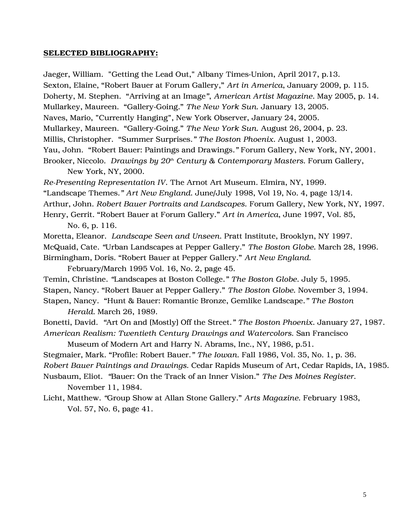#### SELECTED BIBLIOGRAPHY:

Jaeger, William. "Getting the Lead Out," Albany Times-Union, April 2017, p.13. Sexton, Elaine, "Robert Bauer at Forum Gallery," *Art in America*, January 2009, p. 115. Doherty, M. Stephen. "Arriving at an Image*"*, *American Artist Magazine*. May 2005, p. 14. Mullarkey, Maureen. "Gallery-Going." *The New York Sun*. January 13, 2005. Naves, Mario, "Currently Hanging", New York Observer, January 24, 2005. Mullarkey, Maureen. "Gallery-Going." *The New York Sun*. August 26, 2004, p. 23. Millis, Christopher. "Summer Surprises*." The Boston Phoenix.* August 1, 2003. Yau, John. "Robert Bauer: Paintings and Drawings*."* Forum Gallery, New York, NY, 2001. Brooker, Niccolo. *Drawings by 20th Century & Contemporary Masters*. Forum Gallery,

New York, NY, 2000.

*Re-Presenting Representation IV*. The Arnot Art Museum. Elmira, NY, 1999. "Landscape Themes.*" Art New England*. June/July 1998, Vol 19, No. 4, page 13/14. Arthur, John. *Robert Bauer Portraits and Landscapes.* Forum Gallery, New York, NY, 1997. Henry, Gerrit. "Robert Bauer at Forum Gallery." *Art in America*, June 1997, Vol. 85,

No. 6, p. 116.

Moretta, Eleanor. *Landscape Seen and Unseen.* Pratt Institute, Brooklyn, NY 1997. McQuaid, Cate*. "*Urban Landscapes at Pepper Gallery." *The Boston Globe.* March 28, 1996. Birmingham, Doris. "Robert Bauer at Pepper Gallery." *Art New England*.

February/March 1995 Vol. 16, No. 2, page 45.

Temin, Christine*. "*Landscapes at Boston College*." The Boston Globe.* July 5, 1995. Stapen, Nancy. "Robert Bauer at Pepper Gallery." *The Boston Globe*. November 3, 1994. Stapen, Nancy. "Hunt & Bauer: Romantic Bronze, Gemlike Landscape*." The Boston Herald.* March 26, 1989.

Bonetti, David. *"*Art On and (Mostly) Off the Street.*" The Boston Phoenix*. January 27, 1987. *American Realism: Twentieth Century Drawings and Watercolors.* San Francisco

Museum of Modern Art and Harry N. Abrams, Inc., NY, 1986, p.51. Stegmaier, Mark. "Profile: Robert Bauer.*" The Iowan*. Fall 1986, Vol. 35, No. 1, p. 36. *Robert Bauer Paintings and Drawings.* Cedar Rapids Museum of Art, Cedar Rapids, IA, 1985.

Nusbaum, Eliot. *"*Bauer: On the Track of an Inner Vision." *The Des Moines Register*. November 11, 1984.

Licht, Matthew. *"*Group Show at Allan Stone Gallery." *Arts Magazine*. February 1983, Vol. 57, No. 6, page 41.